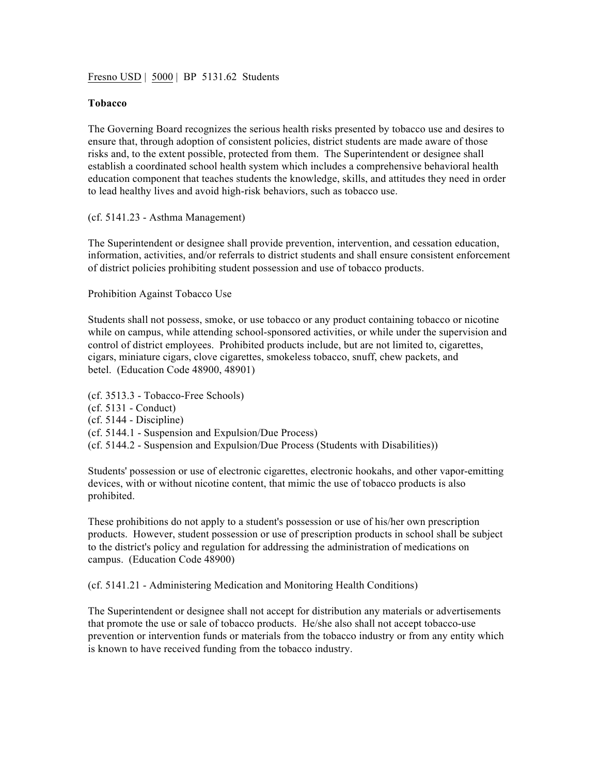Fresno USD | 5000 | BP 5131.62 Students

## **Tobacco**

The Governing Board recognizes the serious health risks presented by tobacco use and desires to ensure that, through adoption of consistent policies, district students are made aware of those risks and, to the extent possible, protected from them. The Superintendent or designee shall establish a coordinated school health system which includes a comprehensive behavioral health education component that teaches students the knowledge, skills, and attitudes they need in order to lead healthy lives and avoid high-risk behaviors, such as tobacco use.

## (cf. 5141.23 - Asthma Management)

The Superintendent or designee shall provide prevention, intervention, and cessation education, information, activities, and/or referrals to district students and shall ensure consistent enforcement of district policies prohibiting student possession and use of tobacco products.

Prohibition Against Tobacco Use

Students shall not possess, smoke, or use tobacco or any product containing tobacco or nicotine while on campus, while attending school-sponsored activities, or while under the supervision and control of district employees. Prohibited products include, but are not limited to, cigarettes, cigars, miniature cigars, clove cigarettes, smokeless tobacco, snuff, chew packets, and betel. (Education Code 48900, 48901)

(cf. 3513.3 - Tobacco-Free Schools) (cf. 5131 - Conduct) (cf. 5144 - Discipline) (cf. 5144.1 - Suspension and Expulsion/Due Process) (cf. 5144.2 - Suspension and Expulsion/Due Process (Students with Disabilities))

Students' possession or use of electronic cigarettes, electronic hookahs, and other vapor-emitting devices, with or without nicotine content, that mimic the use of tobacco products is also prohibited.

These prohibitions do not apply to a student's possession or use of his/her own prescription products. However, student possession or use of prescription products in school shall be subject to the district's policy and regulation for addressing the administration of medications on campus. (Education Code 48900)

(cf. 5141.21 - Administering Medication and Monitoring Health Conditions)

The Superintendent or designee shall not accept for distribution any materials or advertisements that promote the use or sale of tobacco products. He/she also shall not accept tobacco-use prevention or intervention funds or materials from the tobacco industry or from any entity which is known to have received funding from the tobacco industry.